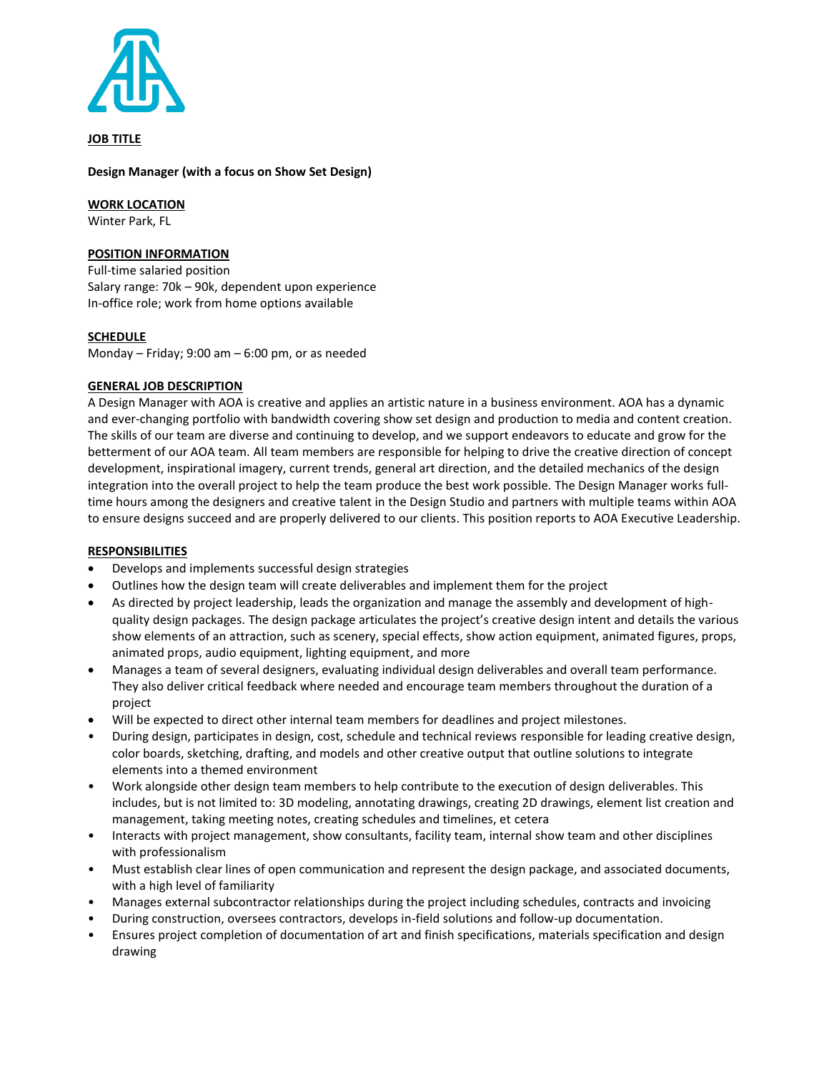

**JOB TITLE**

# **Design Manager (with a focus on Show Set Design)**

**WORK LOCATION**

Winter Park, FL

# **POSITION INFORMATION**

Full-time salaried position Salary range: 70k – 90k, dependent upon experience In-office role; work from home options available

# **SCHEDULE**

Monday – Friday; 9:00 am – 6:00 pm, or as needed

# **GENERAL JOB DESCRIPTION**

A Design Manager with AOA is creative and applies an artistic nature in a business environment. AOA has a dynamic and ever-changing portfolio with bandwidth covering show set design and production to media and content creation. The skills of our team are diverse and continuing to develop, and we support endeavors to educate and grow for the betterment of our AOA team. All team members are responsible for helping to drive the creative direction of concept development, inspirational imagery, current trends, general art direction, and the detailed mechanics of the design integration into the overall project to help the team produce the best work possible. The Design Manager works fulltime hours among the designers and creative talent in the Design Studio and partners with multiple teams within AOA to ensure designs succeed and are properly delivered to our clients. This position reports to AOA Executive Leadership.

# **RESPONSIBILITIES**

- Develops and implements successful design strategies
- Outlines how the design team will create deliverables and implement them for the project
- As directed by project leadership, leads the organization and manage the assembly and development of highquality design packages. The design package articulates the project's creative design intent and details the various show elements of an attraction, such as scenery, special effects, show action equipment, animated figures, props, animated props, audio equipment, lighting equipment, and more
- Manages a team of several designers, evaluating individual design deliverables and overall team performance. They also deliver critical feedback where needed and encourage team members throughout the duration of a project
- Will be expected to direct other internal team members for deadlines and project milestones.
- During design, participates in design, cost, schedule and technical reviews responsible for leading creative design, color boards, sketching, drafting, and models and other creative output that outline solutions to integrate elements into a themed environment
- Work alongside other design team members to help contribute to the execution of design deliverables. This includes, but is not limited to: 3D modeling, annotating drawings, creating 2D drawings, element list creation and management, taking meeting notes, creating schedules and timelines, et cetera
- Interacts with project management, show consultants, facility team, internal show team and other disciplines with professionalism
- Must establish clear lines of open communication and represent the design package, and associated documents, with a high level of familiarity
- Manages external subcontractor relationships during the project including schedules, contracts and invoicing
- During construction, oversees contractors, develops in-field solutions and follow-up documentation.
- Ensures project completion of documentation of art and finish specifications, materials specification and design drawing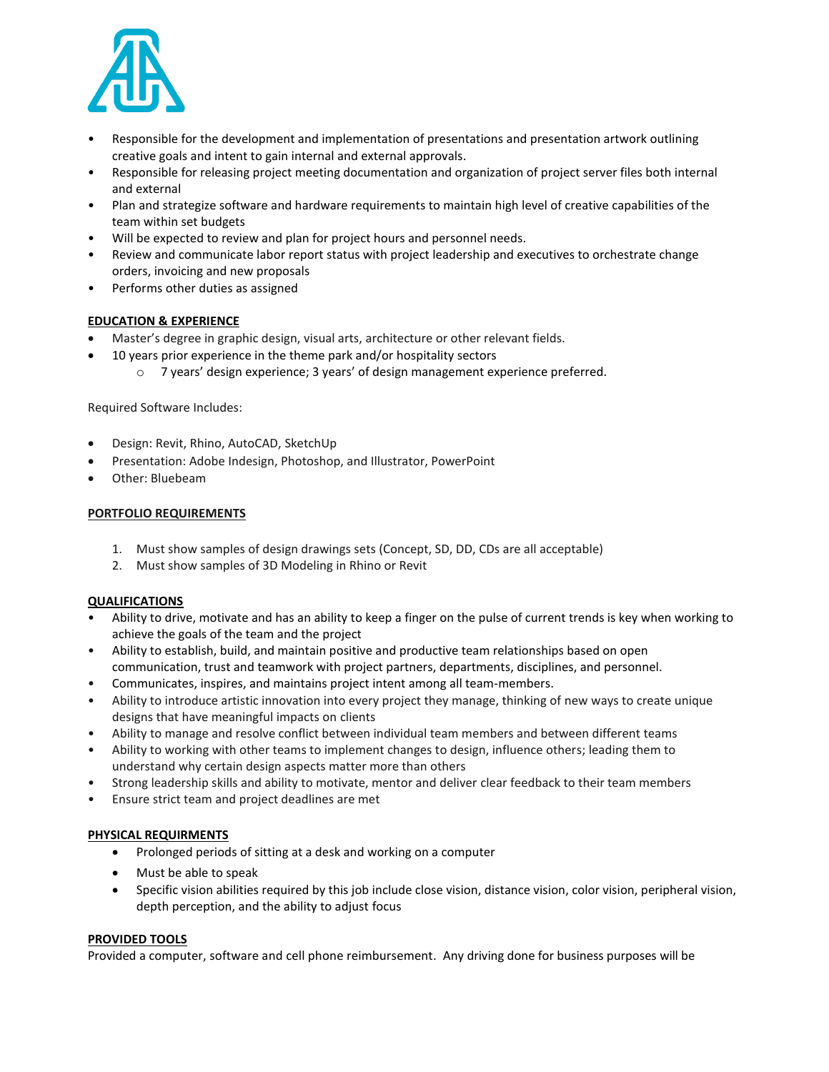

- Responsible for the development and implementation of presentations and presentation artwork outlining creative goals and intent to gain internal and external approvals.
- Responsible for releasing project meeting documentation and organization of project server files both internal and external
- Plan and strategize software and hardware requirements to maintain high level of creative capabilities of the team within set budgets
- Will be expected to review and plan for project hours and personnel needs.
- Review and communicate labor report status with project leadership and executives to orchestrate change orders, invoicing and new proposals
- Performs other duties as assigned

### **EDUCATION & EXPERIENCE**

- Master's degree in graphic design, visual arts, architecture or other relevant fields.
- 10 years prior experience in the theme park and/or hospitality sectors
	- o 7 years' design experience; 3 years' of design management experience preferred.

Required Software Includes:

- Design: Revit, Rhino, AutoCAD, SketchUp
- Presentation: Adobe Indesign, Photoshop, and Illustrator, PowerPoint
- Other: Bluebeam

### **PORTFOLIO REQUIREMENTS**

- 1. Must show samples of design drawings sets (Concept, SD, DD, CDs are all acceptable)
- 2. Must show samples of 3D Modeling in Rhino or Revit

### **QUALIFICATIONS**

- Ability to drive, motivate and has an ability to keep a finger on the pulse of current trends is key when working to achieve the goals of the team and the project
- Ability to establish, build, and maintain positive and productive team relationships based on open communication, trust and teamwork with project partners, departments, disciplines, and personnel.
- Communicates, inspires, and maintains project intent among all team-members.
- Ability to introduce artistic innovation into every project they manage, thinking of new ways to create unique designs that have meaningful impacts on clients
- Ability to manage and resolve conflict between individual team members and between different teams
- Ability to working with other teams to implement changes to design, influence others; leading them to understand why certain design aspects matter more than others
- Strong leadership skills and ability to motivate, mentor and deliver clear feedback to their team members
- Ensure strict team and project deadlines are met

### **PHYSICAL REQUIRMENTS**

- Prolonged periods of sitting at a desk and working on a computer
- Must be able to speak
- Specific vision abilities required by this job include close vision, distance vision, color vision, peripheral vision, depth perception, and the ability to adjust focus

### **PROVIDED TOOLS**

Provided a computer, software and cell phone reimbursement. Any driving done for business purposes will be